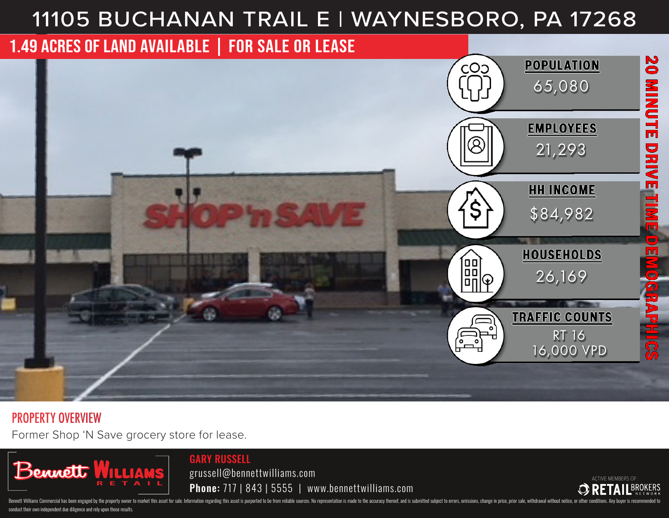# 11105 BUCHANAN TRAIL E | WAYNESBORO, PA 17268



#### PROPERTY OVERVIEW

Former Shop 'N Save grocery store for lease.



GARY RUSSELL

grussell@bennettwilliams.com Phone: 717 | 843 | 5555 | www.bennettwilliams.com



Bennett Williams Commercial has been engaged by the property owner to market this asset for sale. Information regarding this asset is purported to be from reliable sources. No representation is made to the accuracy thereof conduct their own independent due diligence and rely upon those results.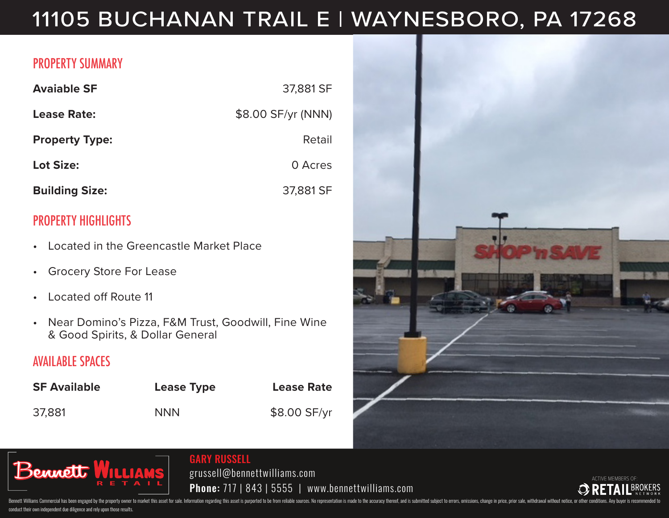## 11105 BUCHANAN TRAIL E | WAYNESBORO, PA 17268

#### PROPERTY SUMMARY

| <b>Avaiable SF</b>    | 37,881 SF          |
|-----------------------|--------------------|
| Lease Rate:           | \$8.00 SF/yr (NNN) |
| <b>Property Type:</b> | Retail             |
| <b>Lot Size:</b>      | 0 Acres            |
| <b>Building Size:</b> | 37,881 SF          |

### PROPERTY HIGHLIGHTS

- Located in the Greencastle Market Place
- Grocery Store For Lease
- Located off Route 11
- Near Domino's Pizza, F&M Trust, Goodwill, Fine Wine & Good Spirits, & Dollar General

#### AVAILABLE SPACES

| <b>SF Available</b> | Lease Type | <b>Lease Rate</b> |
|---------------------|------------|-------------------|
| 37,881              | <b>NNN</b> | \$8.00 SF/yr      |





#### GARY RUSSELL

grussell@bennettwilliams.com Phone: 717 | 843 | 5555 | www.bennettwilliams.com



Bennett Williams Commercial has been engaged by the property owner to market this asset for sale. Information regarding this asset is purported to be from reliable sources. No representation is made to the accuracy thereof conduct their own independent due diligence and rely upon those results.